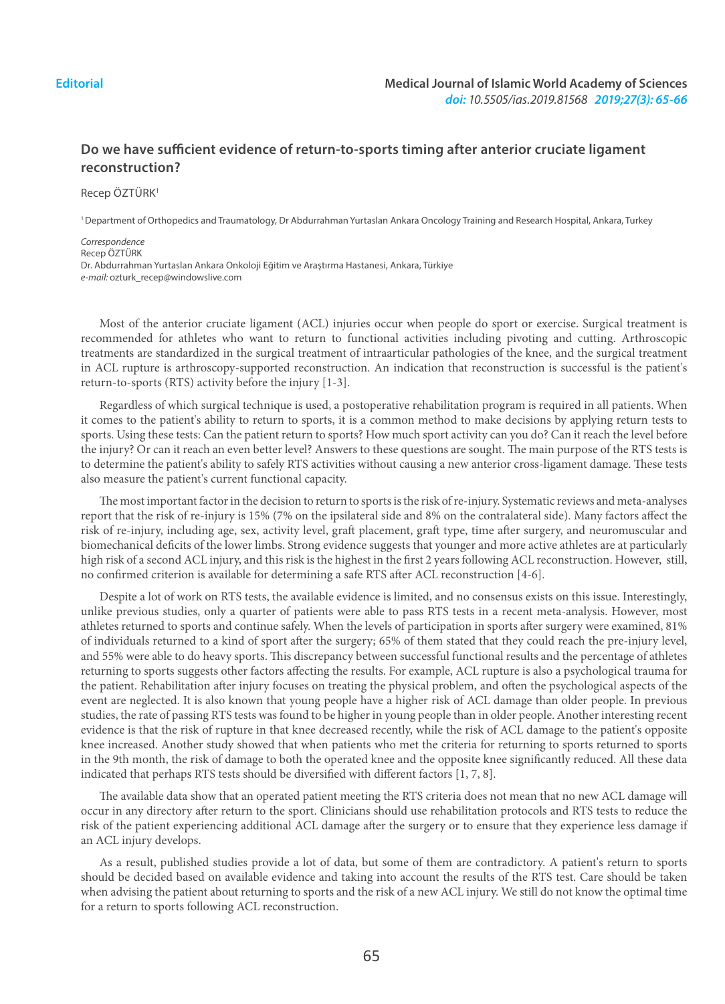## **Do we have sufficient evidence of return-to-sports timing after anterior cruciate ligament reconstruction?**

Recep ÖZTÜRK<sup>1</sup>

1 Department of Orthopedics and Traumatology, Dr Abdurrahman Yurtaslan Ankara Oncology Training and Research Hospital, Ankara, Turkey

*Correspondence* Recep ÖZTÜRK Dr. Abdurrahman Yurtaslan Ankara Onkoloji Eğitim ve Araştırma Hastanesi, Ankara, Türkiye *e-mail:* ozturk\_recep@windowslive.com

Most of the anterior cruciate ligament (ACL) injuries occur when people do sport or exercise. Surgical treatment is recommended for athletes who want to return to functional activities including pivoting and cutting. Arthroscopic treatments are standardized in the surgical treatment of intraarticular pathologies of the knee, and the surgical treatment in ACL rupture is arthroscopy-supported reconstruction. An indication that reconstruction is successful is the patient's return-to-sports (RTS) activity before the injury [1-3].

Regardless of which surgical technique is used, a postoperative rehabilitation program is required in all patients. When it comes to the patient's ability to return to sports, it is a common method to make decisions by applying return tests to sports. Using these tests: Can the patient return to sports? How much sport activity can you do? Can it reach the level before the injury? Or can it reach an even better level? Answers to these questions are sought. The main purpose of the RTS tests is to determine the patient's ability to safely RTS activities without causing a new anterior cross-ligament damage. These tests also measure the patient's current functional capacity.

The most important factor in the decision to return to sports is the risk of re-injury. Systematic reviews and meta-analyses report that the risk of re-injury is 15% (7% on the ipsilateral side and 8% on the contralateral side). Many factors affect the risk of re-injury, including age, sex, activity level, graft placement, graft type, time after surgery, and neuromuscular and biomechanical deficits of the lower limbs. Strong evidence suggests that younger and more active athletes are at particularly high risk of a second ACL injury, and this risk is the highest in the first 2 years following ACL reconstruction. However, still, no confirmed criterion is available for determining a safe RTS after ACL reconstruction [4-6].

Despite a lot of work on RTS tests, the available evidence is limited, and no consensus exists on this issue. Interestingly, unlike previous studies, only a quarter of patients were able to pass RTS tests in a recent meta-analysis. However, most athletes returned to sports and continue safely. When the levels of participation in sports after surgery were examined, 81% of individuals returned to a kind of sport after the surgery; 65% of them stated that they could reach the pre-injury level, and 55% were able to do heavy sports. This discrepancy between successful functional results and the percentage of athletes returning to sports suggests other factors affecting the results. For example, ACL rupture is also a psychological trauma for the patient. Rehabilitation after injury focuses on treating the physical problem, and often the psychological aspects of the event are neglected. It is also known that young people have a higher risk of ACL damage than older people. In previous studies, the rate of passing RTS tests was found to be higher in young people than in older people. Another interesting recent evidence is that the risk of rupture in that knee decreased recently, while the risk of ACL damage to the patient's opposite knee increased. Another study showed that when patients who met the criteria for returning to sports returned to sports in the 9th month, the risk of damage to both the operated knee and the opposite knee significantly reduced. All these data indicated that perhaps RTS tests should be diversified with different factors [1, 7, 8].

The available data show that an operated patient meeting the RTS criteria does not mean that no new ACL damage will occur in any directory after return to the sport. Clinicians should use rehabilitation protocols and RTS tests to reduce the risk of the patient experiencing additional ACL damage after the surgery or to ensure that they experience less damage if an ACL injury develops.

As a result, published studies provide a lot of data, but some of them are contradictory. A patient's return to sports should be decided based on available evidence and taking into account the results of the RTS test. Care should be taken when advising the patient about returning to sports and the risk of a new ACL injury. We still do not know the optimal time for a return to sports following ACL reconstruction.